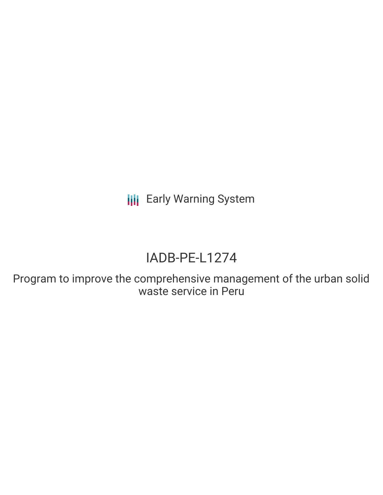**III** Early Warning System

# IADB-PE-L1274

Program to improve the comprehensive management of the urban solid waste service in Peru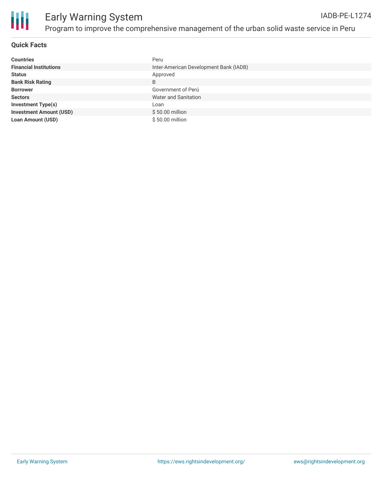

#### **Quick Facts**

| <b>Countries</b>               | Peru                                   |
|--------------------------------|----------------------------------------|
| <b>Financial Institutions</b>  | Inter-American Development Bank (IADB) |
| <b>Status</b>                  | Approved                               |
| <b>Bank Risk Rating</b>        | B                                      |
| <b>Borrower</b>                | Government of Perú                     |
| <b>Sectors</b>                 | Water and Sanitation                   |
| <b>Investment Type(s)</b>      | Loan                                   |
| <b>Investment Amount (USD)</b> | $$50.00$ million                       |
| <b>Loan Amount (USD)</b>       | \$50.00 million                        |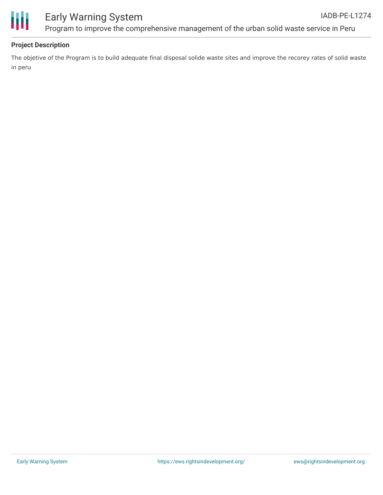



### Early Warning System Program to improve the comprehensive management of the urban solid waste service in Peru

#### **Project Description**

The objetive of the Program is to build adequate final disposal solide waste sites and improve the recorey rates of solid waste in peru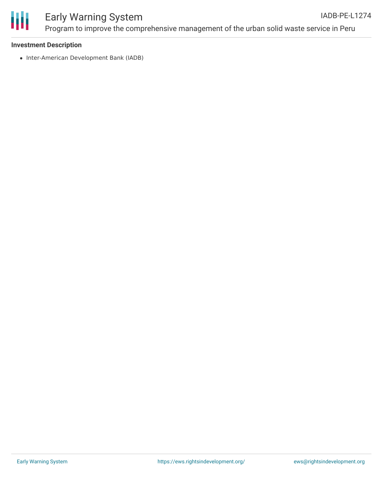

## Early Warning System

Program to improve the comprehensive management of the urban solid waste service in Peru

#### **Investment Description**

• Inter-American Development Bank (IADB)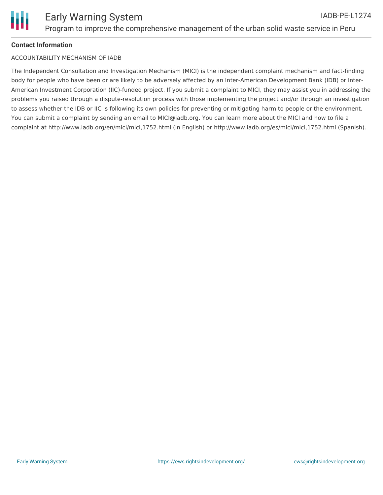#### **Contact Information**

#### ACCOUNTABILITY MECHANISM OF IADB

The Independent Consultation and Investigation Mechanism (MICI) is the independent complaint mechanism and fact-finding body for people who have been or are likely to be adversely affected by an Inter-American Development Bank (IDB) or Inter-American Investment Corporation (IIC)-funded project. If you submit a complaint to MICI, they may assist you in addressing the problems you raised through a dispute-resolution process with those implementing the project and/or through an investigation to assess whether the IDB or IIC is following its own policies for preventing or mitigating harm to people or the environment. You can submit a complaint by sending an email to MICI@iadb.org. You can learn more about the MICI and how to file a complaint at http://www.iadb.org/en/mici/mici,1752.html (in English) or http://www.iadb.org/es/mici/mici,1752.html (Spanish).